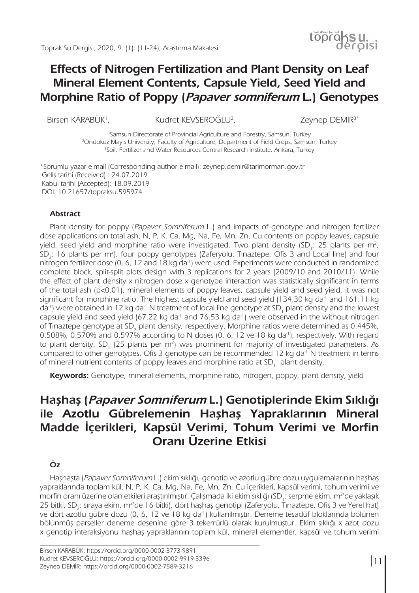# toprassu. **Effects of Nitrogen Fertilization and Plant Density on Leaf Mineral Element Contents, Capsule Yield, Seed Yield and**

Birsen KARABÜK<sup>1</sup>

, Kudret KEVSEROĞLU<sup>2</sup>

Zeynep DEMİR<sup>3\*</sup>

1 Samsun Directorate of Provincial Agriculture and Forestry, Samsun, Turkey 2 Ondokuz Mayis University, Faculty of Agriculture, Department of Field Crops, Samsun, Turkey <sup>3</sup>Soil, Fertilizer and Water Resources Central Research Institute, Ankara, Turkey

**Morphine Ratio of Poppy (Papaver somniferum L.) Genotypes** 

\*Sorumlu yazar e-mail (Corresponding author e-mail): zeynep.demir@tarimorman.gov.tr Geliş tarihi (Received) : 24.07.2019 Kabul tarihi (Accepted): 18.09.2019 DOI: 10.21657/topraksu.595974

#### **Abstract**

Plant density for poppy (Papaver Somniferum L.) and impacts of genotype and nitrogen fertilizer dose applications on total ash, N, P, K, Ca, Mg, Na, Fe, Mn, Zn, Cu contents on poppy leaves, capsule yield, seed yield and morphine ratio were investigated. Two plant density (SD<sub>1</sub>: 25 plants per m<sup>2</sup>,  $SD<sub>2</sub>:$  16 plants per m<sup>2</sup>), four poppy genotypes (Zaferyolu, Tinaztepe, Ofis 3 and Local line) and four nitrogen fertilizer dose (0, 6, 12 and 18 kg da<sup>-1</sup>) were used. Experiments were conducted in randomized complete block, split-split plots design with 3 replications for 2 years (2009/10 and 2010/11). While the effect of plant density x nitrogen dose x genotype interaction was statistically significant in terms of the total ash (p<0.01), mineral elements of poppy leaves, capsule yield and seed yield, it was not significant for morphine ratio. The highest capsule yield and seed yield (134.30 kg da<sup>-1</sup> and 161.11 kg da<sup>-1</sup>) were obtained in 12 kg da<sup>-1</sup> N treatment of local line genotype at SD<sub>1</sub> plant density and the lowest capsule yield and seed yield (67.22 kg da<sup>-1</sup> and 76.53 kg da<sup>-1</sup>) were observed in the without nitrogen of Tinaztepe genotype at SD<sub>2</sub> plant density, respectively. Morphine ratios were determined as 0.445%, 0.508%, 0.570% and 0.597% according to N doses (0, 6, 12 ve 18 kg da<sup>-1</sup>), respectively. With regard to plant density, SD<sub>1</sub> (25 plants per m<sup>2</sup>) was prominent for majority of investigated parameters. As compared to other genotypes, Ofis 3 genotype can be recommended 12 kg da<sup>-1</sup> N treatment in terms of mineral nutrient contents of poppy leaves and morphine ratio at  $\mathrm{SD}_1^-$  plant density.

**Keywords:** Genotype, mineral elements, morphine ratio, nitrogen, poppy, plant density, yield

# **Haşhaş (Papaver Somniferum L.) Genotiplerinde Ekim Sıklığı ile Azotlu Gübrelemenin Haşhaş Yapraklarının Mineral Madde İçerikleri, Kapsül Verimi, Tohum Verimi ve Morfin Oranı Üzerine Etkisi**

# **Öz**

Haşhaşta (Papaver Somniferum L.) ekim sıklığı, genotip ve azotlu gübre dozu uygulamalarının haşhaş yapraklarında toplam kül, N, P, K, Ca, Mg, Na, Fe, Mn, Zn, Cu içerikleri, kapsül verimi, tohum verimi ve morfin oranı üzerine olan etkileri araştırılmıştır. Çalışmada iki ekim sıklığı (SD<sub>1</sub>: serpme ekim, m<sup>2</sup>'de yaklaşık 25 bitki, SD<sub>2</sub>: sıraya ekim, m<sup>2</sup>'de 16 bitki), dört haşhaş genotipi (Zaferyolu, Tınaztepe, Ofis 3 ve Yerel hat) ve dört azotlu gübre dozu (0, 6, 12 ve 18 kg da-1) kullanılmıştır. Deneme tesadüf bloklarında bölünen bölünmüş parseller deneme desenine göre 3 tekerrürlü olarak kurulmuştur. Ekim sıklığı x azot dozu x genotip interaksiyonu haşhaş yapraklarının toplam kül, mineral elementler, kapsül ve tohum verimi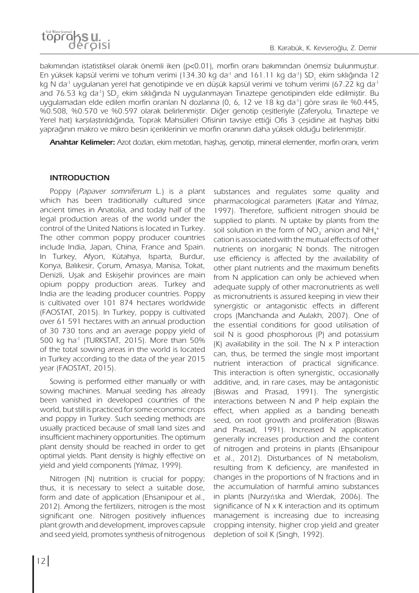

bakımından istatistiksel olarak önemli iken (p<0.01), morfin oranı bakımından önemsiz bulunmuştur. En yüksek kapsül verimi ve tohum verimi (134.30 kg da<sup>-1</sup> and 161.11 kg da<sup>-1</sup>) SD<sub>1</sub> ekim sıklığında 12 kg N da<sup>-1</sup> uygulanan yerel hat genotipinde ve en düşük kapsül verimi ve tohum verimi (67.22 kg da<sup>-1</sup> and 76.53 kg da<sup>-ı</sup>) SD<sub>2</sub> ekim sıklığında N uygulanmayan Tınaztepe genotipinden elde edilmiştir. Bu uygulamadan elde edilen morfin oranları N dozlarına (0, 6, 12 ve 18 kg da<sup>-1</sup>) göre sırası ile %0.445, %0.508, %0.570 ve %0.597 olarak belirlenmiştir. Diğer genotip çeşitleriyle (Zaferyolu, Tınaztepe ve Yerel hat) karşılaştırıldığında, Toprak Mahsülleri Ofisinin tavsiye ettiği Ofis 3 çeşidine ait haşhaş bitki yaprağının makro ve mikro besin içeriklerinin ve morfin oranının daha yüksek olduğu belirlenmiştir.

**Anahtar Kelimeler:** Azot dozları, ekim metotları, haşhaş, genotip, mineral elementler, morfin oranı, verim

# **INTRODUCTION**

Poppy (*Papaver somniferum* L.) is a plant which has been traditionally cultured since ancient times in Anatolia, and today half of the legal production areas of the world under the control of the United Nations is located in Turkey. The other common poppy producer countries include India, Japan, China, France and Spain. In Turkey, Afyon, Kütahya, Isparta, Burdur, Konya, Balıkesir, Çorum, Amasya, Manisa, Tokat, Denizli, Uşak and Eskişehir provinces are main opium poppy production areas. Turkey and India are the leading producer countries. Poppy is cultivated over 101 874 hectares worldwide (FAOSTAT, 2015). In Turkey, poppy is cultivated over 61 591 hectares with an annual production of 30 730 tons and an average poppy yield of 500 kg ha-1 (TURKSTAT, 2015). More than 50% of the total sowing areas in the world is located in Turkey according to the data of the year 2015 year (FAOSTAT, 2015).

Sowing is performed either manually or with sowing machines. Manual seeding has already been vanished in developed countries of the world, but still is practiced for some economic crops and poppy in Turkey. Such seeding methods are usually practiced because of small land sizes and insufficient machinery opportunities. The optimum plant density should be reached in order to get optimal yields. Plant density is highly effective on yield and yield components (Yılmaz, 1999).

Nitrogen (N) nutrition is crucial for poppy; thus, it is necessary to select a suitable dose, form and date of application (Ehsanipour et al., 2012). Among the fertilizers, nitrogen is the most significant one. Nitrogen positively influences plant growth and development, improves capsule and seed yield, promotes synthesis of nitrogenous

substances and regulates some quality and pharmacological parameters (Katar and Yılmaz, 1997). Therefore, sufficient nitrogen should be supplied to plants. N uptake by plants from the soil solution in the form of  $\mathsf{NO}_3^-$  anion and  $\mathsf{NH}_4^+$ cation is associated with the mutual effects of other nutrients on inorganic N bonds. The nitrogen use efficiency is affected by the availability of other plant nutrients and the maximum benefits from N application can only be achieved when adequate supply of other macronutrients as well as micronutrients is assured keeping in view their synergistic or antagonistic effects in different crops (Manchanda and Aulakh, 2007). One of the essential conditions for good utilisation of soil N is good phosphorous (P) and potassium  $(K)$  availability in the soil. The N x P interaction can, thus, be termed the single most important nutrient interaction of practical significance. This interaction is often synergistic, occasionally additive, and, in rare cases, may be antagonistic (Biswas and Prasad, 1991). The synergistic interactions between N and P help explain the effect, when applied as a banding beneath seed, on root growth and proliferation (Biswas and Prasad, 1991). Increased N application generally increases production and the content of nitrogen and proteins in plants (Ehsanipour et al., 2012). Disturbances of N metabolism, resulting from K deficiency, are manifested in changes in the proportions of N fractions and in the accumulation of harmful amino substances in plants (Nurzyńska and Wierdak, 2006). The significance of N x K interaction and its optimum management is increasing due to increasing cropping intensity, higher crop yield and greater depletion of soil K (Singh, 1992).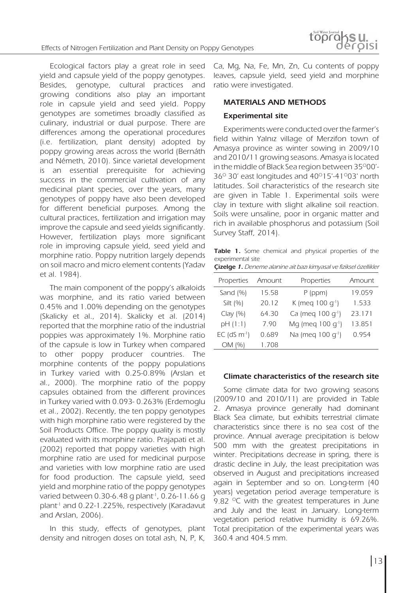Ecological factors play a great role in seed yield and capsule yield of the poppy genotypes. Besides, genotype, cultural practices and growing conditions also play an important role in capsule yield and seed yield. Poppy genotypes are sometimes broadly classified as culinary, industrial or dual purpose. There are differences among the operational procedures (i.e. fertilization, plant density) adopted by poppy growing areas across the world (Bernáth and Németh, 2010). Since varietal development is an essential prerequisite for achieving success in the commercial cultivation of any medicinal plant species, over the years, many genotypes of poppy have also been developed for different beneficial purposes. Among the cultural practices, fertilization and irrigation may improve the capsule and seed yields significantly. However, fertilization plays more significant role in improving capsule yield, seed yield and morphine ratio. Poppy nutrition largely depends on soil macro and micro element contents (Yadav et al. 1984).

The main component of the poppy's alkaloids was morphine, and its ratio varied between 0.45% and 1.00% depending on the genotypes (Skalicky et al., 2014). Skalicky et al. (2014) reported that the morphine ratio of the industrial poppies was approximately 1%. Morphine ratio of the capsule is low in Turkey when compared to other poppy producer countries. The morphine contents of the poppy populations in Turkey varied with 0.25-0.89% (Arslan et al., 2000). The morphine ratio of the poppy capsules obtained from the different provinces in Turkey varied with 0.093- 0.263% (Erdemoglu et al., 2002). Recently, the ten poppy genotypes with high morphine ratio were registered by the Soil Products Office. The poppy quality is mostly evaluated with its morphine ratio. Prajapati et al. (2002) reported that poppy varieties with high morphine ratio are used for medicinal purpose and varieties with low morphine ratio are used for food production. The capsule yield, seed yield and morphine ratio of the poppy genotypes varied between 0.30-6.48 g plant<sup>-1</sup>, 0.26-11.66 g plant-1 and 0.22-1.225%, respectively (Karadavut and Arslan, 2006).

In this study, effects of genotypes, plant density and nitrogen doses on total ash, N, P, K,

Ca, Mg, Na, Fe, Mn, Zn, Cu contents of poppy leaves, capsule yield, seed yield and morphine ratio were investigated.

# **MATERIALS AND METHODS**

# **Experimental site**

Experiments were conducted over the farmer's field within Yalnız village of Merzifon town of Amasya province as winter sowing in 2009/10 and 2010/11 growing seasons. Amasya is located in the middle of Black Sea region between 35°00'- $36^\circ$  30' east longitudes and  $40^\circ$ 15'-41 $^\circ$ 03' north latitudes. Soil characteristics of the research site are given in Table 1. Experimental soils were clay in texture with slight alkaline soil reaction. Soils were unsaline, poor in organic matter and rich in available phosphorus and potassium (Soil Survey Staff, 2014).

**Table 1.** Some chemical and physical properties of the experimental site

| <b>Çizelge 1.</b> Deneme alanine ait bazı kimyasal ve fiziksel özellikler |  |
|---------------------------------------------------------------------------|--|
|                                                                           |  |

| Properties                 | Amount | Properties                    | Amount |
|----------------------------|--------|-------------------------------|--------|
| Sand $(%)$                 | 15.58  | $P$ (ppm)                     | 19.059 |
| Silt (%)                   | 20.12  | K (meg 100 $q^{-1}$ )         | 1.533  |
| Clay(%)                    | 64.30  | Ca (meg 100 $q^{-1}$ )        | 23.171 |
| pH(1:1)                    | 7.90   | Mg (meg 100 $q^{-1}$ )        | 13.851 |
| $EC$ (dS m <sup>-1</sup> ) | 0.689  | Na (meg 100 g <sup>-1</sup> ) | 0.954  |
| OM (%)                     | 1.708  |                               |        |

#### **Climate characteristics of the research site**

Some climate data for two growing seasons (2009/10 and 2010/11) are provided in Table 2. Amasya province generally had dominant Black Sea climate, but exhibits terrestrial climate characteristics since there is no sea cost of the province. Annual average precipitation is below 500 mm with the greatest precipitations in winter. Precipitations decrease in spring, there is drastic decline in July, the least precipitation was observed in August and precipitations increased again in September and so on. Long-term (40 years) vegetation period average temperature is 9.82  $\degree$ C with the greatest temperatures in June and July and the least in January. Long-term vegetation period relative humidity is 69.26%. Total precipitation of the experimental years was 360.4 and 404.5 mm.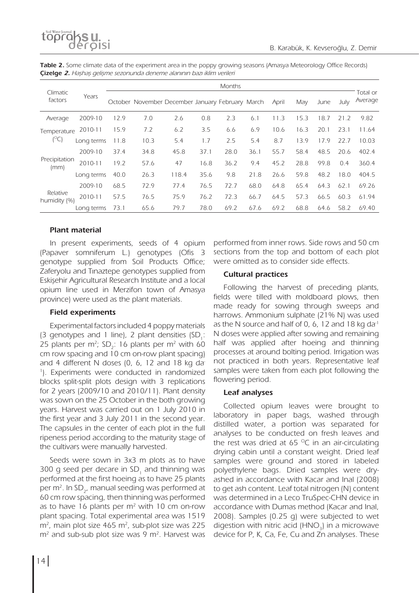

| Table 2. Some climate data of the experiment area in the poppy growing seasons (Amasya Meteorology Office Records) |  |
|--------------------------------------------------------------------------------------------------------------------|--|
| <b>Çizelge 2.</b> Haşhaş gelişme sezonunda deneme alanının bazı iklim verileri                                     |  |

|                          | Years      | <b>Months</b> |                                                  |       |      |      |      |       |      |      |      |                     |
|--------------------------|------------|---------------|--------------------------------------------------|-------|------|------|------|-------|------|------|------|---------------------|
| Climatic<br>factors      |            |               | October November December January February March |       |      |      |      | April | May  | June | July | Total or<br>Average |
| Average                  | 2009-10    | 12.9          | 7.0                                              | 2.6   | 0.8  | 2.3  | 6.1  | 11.3  | 15.3 | 18.7 | 21.2 | 9.82                |
| Temperature<br>(°C       | 2010-11    | 15.9          | 7.2                                              | 6.2   | 3.5  | 6.6  | 6.9  | 10.6  | 16.3 | 20.1 | 23.1 | 11.64               |
|                          | Long terms | 11.8          | 10.3                                             | 5.4   | 1.7  | 2.5  | 5.4  | 8.7   | 13.9 | 17.9 | 22.7 | 10.03               |
|                          | 2009-10    | 37.4          | 34.8                                             | 45.8  | 37.1 | 28.0 | 36.1 | 55.7  | 58.4 | 48.5 | 20.6 | 402.4               |
| Precipitation<br>(mm)    | 2010-11    | 19.2          | 57.6                                             | 47    | 16.8 | 36.2 | 9.4  | 45.2  | 28.8 | 99.8 | 0.4  | 360.4               |
|                          | Long terms | 40.0          | 26.3                                             | 118.4 | 35.6 | 9.8  | 21.8 | 26.6  | 59.8 | 48.2 | 18.0 | 404.5               |
| Relative<br>humidity (%) | 2009-10    | 68.5          | 72.9                                             | 77.4  | 76.5 | 72.7 | 68.0 | 64.8  | 65.4 | 64.3 | 62.1 | 69.26               |
|                          | 2010-11    | 57.5          | 76.5                                             | 75.9  | 76.2 | 72.3 | 66.7 | 64.5  | 57.3 | 66.5 | 60.3 | 61.94               |
|                          | Long terms | 73.1          | 65.6                                             | 79.7  | 78.0 | 69.2 | 67.6 | 69.2  | 68.8 | 64.6 | 58.2 | 69.40               |

# **Plant material**

In present experiments, seeds of 4 opium (Papaver somniferum L.) genotypes (Ofis 3 genotype supplied from Soil Products Office; Zaferyolu and Tınaztepe genotypes supplied from Eskişehir Agricultural Research Institute and a local opium line used in Merzifon town of Amasya province) were used as the plant materials.

# **Field experiments**

Experimental factors included 4 poppy materials (3 genotypes and 1 line), 2 plant densities  $(SD<sub>1</sub>:$ 25 plants per m<sup>2</sup>; SD<sub>2</sub>: 16 plants per m<sup>2</sup> with 60 cm row spacing and 10 cm on-row plant spacing) and 4 different N doses  $(0, 6, 12, 12)$  and 18 kg da-1 ). Experiments were conducted in randomized blocks split-split plots design with 3 replications for 2 years (2009/10 and 2010/11). Plant density was sown on the 25 October in the both growing years. Harvest was carried out on 1 July 2010 in the first year and 3 July 2011 in the second year. The capsules in the center of each plot in the full ripeness period according to the maturity stage of the cultivars were manually harvested.

Seeds were sown in 3x3 m plots as to have 300 g seed per decare in  $SD<sub>1</sub>$  and thinning was performed at the first hoeing as to have 25 plants per  $m^2$ . In SD<sub>2</sub>, manual seeding was performed at 60 cm row spacing, then thinning was performed as to have 16 plants per  $m<sup>2</sup>$  with 10 cm on-row plant spacing. Total experimental area was 1519  $m<sup>2</sup>$ , main plot size 465 m<sup>2</sup>, sub-plot size was 225  $m<sup>2</sup>$  and sub-sub plot size was 9  $m<sup>2</sup>$ . Harvest was

performed from inner rows. Side rows and 50 cm sections from the top and bottom of each plot were omitted as to consider side effects.

# **Cultural practices**

Following the harvest of preceding plants, fields were tilled with moldboard plows, then made ready for sowing through sweeps and harrows. Ammonium sulphate (21% N) was used as the N source and half of 0, 6, 12 and 18 kg da<sup>-1</sup> N doses were applied after sowing and remaining half was applied after hoeing and thinning processes at around bolting period. Irrigation was not practiced in both years. Representative leaf samples were taken from each plot following the flowering period.

# **Leaf analyses**

Collected opium leaves were brought to laboratory in paper bags, washed through distilled water, a portion was separated for analyses to be conducted on fresh leaves and the rest was dried at 65  $\degree$ C in an air-circulating drying cabin until a constant weight. Dried leaf samples were ground and stored in labeled polyethylene bags. Dried samples were dryashed in accordance with Kacar and Inal (2008) to get ash content. Leaf total nitrogen (N) content was determined in a Leco TruSpec-CHN device in accordance with Dumas method (Kacar and Inal, 2008). Samples (0.25 g) were subjected to wet digestion with nitric acid  $(HNO<sub>3</sub>)$  in a microwave device for P, K, Ca, Fe, Cu and Zn analyses. These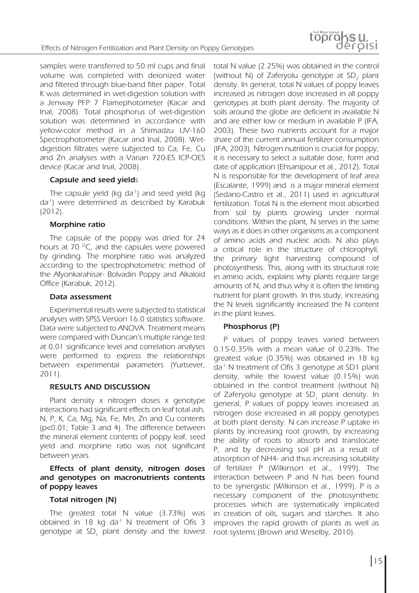

samples were transferred to 50 ml cups and final volume was completed with deionized water and filtered through blue-band filter paper. Total K was determined in wet-digestion solution with a Jenway PFP 7 Flamephotometer (Kacar and Inal, 2008). Total phosphorus of wet-digestion solution was determined in accordance with yellow-color method in a Shimadzu UV-160 Spectrophotometer (Kacar and Inal, 2008). Wetdigestion filtrates were subjected to Ca, Fe, Cu and Zn analyses with a Varian 720-ES ICP-OES device (Kacar and Inal, 2008).

#### **Capsule and seed yield**s

The capsule yield (kg da<sup>-1</sup>) and seed yield (kg da-1) were determined as described by Karabuk (2012).

#### **Morphine ratio**

The capsule of the poppy was dried for 24 hours at 70  $\degree$ C, and the capsules were powered by grinding. The morphine ratio was analyzed according to the spectrophotometric method of the Afyonkarahisar- Bolvadin Poppy and Alkaloid Office (Karabuk, 2012).

#### **Data assessment**

Experimental results were subjected to statistical analyses with SPSS Version 16.0 statistics software. Data were subjected to ANOVA. Treatment means were compared with Duncan's multiple range test at 0.01 significance level and correlation analyses were performed to express the relationships between experimental parameters (Yurtsever, 2011).

#### **RESULTS AND DISCUSSION**

Plant density x nitrogen doses x genotype interactions had significant effects on leaf total ash, N, P, K, Ca, Mg, Na, Fe, Mn, Zn and Cu contents (p<0.01; Table 3 and 4). The difference between the mineral element contents of poppy leaf, seed yield and morphine ratio was not significant between years.

### **Effects of plant density, nitrogen doses and genotypes on macronutrients contents of poppy leaves**

#### **Total nitrogen (N)**

The greatest total N value (3.73%) was obtained in 18 kg da<sup>-1</sup> N treatment of Ofis 3 genotype at SD<sub>1</sub> plant density and the lowest total N value (2.25%) was obtained in the control (without N) of Zaferyolu genotype at  $SD<sub>2</sub>$  plant density. In general, total N values of poppy leaves increased as nitrogen dose increased in all poppy genotypes at both plant density. The majority of soils around the globe are deficient in available N and are either low or medium in available P (IFA, 2003). These two nutrients account for a major share of the current annual fertilizer consumption (IFA, 2003). Nitrogen nutrition is crucial for poppy; it is necessary to select a suitable dose, form and date of application (Ehsanipour et al., 2012). Total N is responsible for the development of leaf area (Escalante, 1999) and is a major mineral element (Sedano-Castro et al., 2011) used in agricultural fertilization. Total N is the element most absorbed from soil by plants growing under normal conditions. Within the plant, N serves in the same ways as it does in other organisms as a component of amino acids and nucleic acids. N also plays a critical role in the structure of chlorophyll, the primary light harvesting compound of photosynthesis. This, along with its structural role in amino acids, explains why plants require large amounts of N, and thus why it is often the limiting nutrient for plant growth. In this study, increasing the N levels significantly increased the N content in the plant leaves.

#### **Phosphorus (P)**

P values of poppy leaves varied between 0.15-0.35% with a mean value of 0.23%. The greatest value (0.35%) was obtained in 18 kg da-1 N treatment of Ofis 3 genotype at SD1 plant density, while the lowest value (0.15%) was obtained in the control treatment (without N) of Zaferyolu genotype at SD, plant density. In general, P values of poppy leaves increased as nitrogen dose increased in all poppy genotypes at both plant density. N can increase P uptake in plants by increasing root growth, by increasing the ability of roots to absorb and translocate P, and by decreasing soil pH as a result of absorption of NH4- and thus increasing solubility of fertilizer P (Wilkinson et al., 1999). The interaction between P and N has been found to be synergistic (Wilkinson et al., 1999). P is a necessary component of the photosynthetic processes which are systematically implicated in creation of oils, sugars and starches. It also improves the rapid growth of plants as well as root systems (Brown and Weselby, 2010).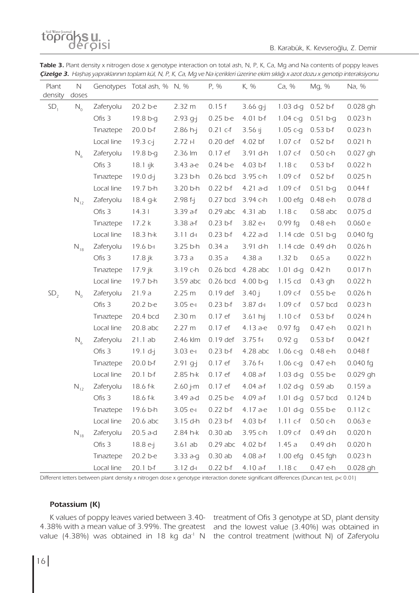topraksu.

B. Karabük, K. Kevseroğlu, Z. Demir

| Table 3. Plant density x nitrogen dose x genotype interaction on total ash, N, P, K, Ca, Mg and Na contents of poppy leaves                  |  |  |  |  |
|----------------------------------------------------------------------------------------------------------------------------------------------|--|--|--|--|
| <b>Çizelge 3.</b> Haşhaş yapraklarının toplam kül, N, P, K, Ca, Mg ve Na içerikleri üzerine ekim sıklığı x azot dozu x genotip interaksiyonu |  |  |  |  |

| Plant<br>density | N<br>doses |            | Genotypes Total ash, % N, % |              | P, %       | K, %       | Ca, %             | Mg, %        | Na, %      |
|------------------|------------|------------|-----------------------------|--------------|------------|------------|-------------------|--------------|------------|
| SD <sub>1</sub>  | $N_{0}$    | Zaferyolu  | 20.2 b-e                    | 2.32 m       | 0.15f      | $3.66$ g-j | 1.03 d-g          | $0.52$ b-f   | 0.028 gh   |
|                  |            | Ofis 3     | 19.8 b-g                    | $2.93$ q-j   | $0.25$ b-e | $4.01 b-f$ | $1.04c - q$       | $0.51 b-q$   | 0.023h     |
|                  |            | Tinaztepe  | 20.0 b-f                    | $2.86 h-j$   | $0.21$ c-f | $3.56$ Ij  | 1.05 $c - q$      | $0.53 b-f$   | 0.023h     |
|                  |            | Local line | 19.3 c-j                    | 2.72 H       | 0.20 def   | 4.02 bf    | $1.07$ c-f        | $0.52$ b-f   | 0.021h     |
|                  | $N_{6}$    | Zaferyolu  | 19.8 b-g                    | 2.36 lm      | 0.17 ef    | 3.91 d-h   | $1.07$ c-f        | $0.50c-h$    | 0.027 gh   |
|                  |            | Ofis 3     | $18.1$ $ijk$                | 3.43 a-e     | 0.24 b-e   | $4.03 b-f$ | 1.18c             | $0.53 b-f$   | 0.022h     |
|                  |            | Tinaztepe  | $19.0 d-i$                  | 3.23 b-h     | $0.26$ bcd | 3.95 c-h   | 1.09 c-f          | $0.52$ b-f   | 0.025h     |
|                  |            | Local line | 19.7 b-h                    | 3.20 b-h     | $0.22$ b-f | $4.21$ a-d | 1.09 c-f          | $0.51 b-q$   | 0.044f     |
|                  | $N_{12}$   | Zaferyolu  | 18.4 g-k                    | $2.98 f - j$ | $0.27$ bcd | 3.94 c-h   | $1.00$ efg        | 0.48 e-h     | 0.078 d    |
|                  |            | Ofis 3     | 14.3                        | $3.39a-f$    | $0.29$ abc | 4.31ab     | 1.18c             | $0.58$ abc   | $0.075$ d  |
|                  |            | Tinaztepe  | 17.2 k                      | $3.38$ a-f   | $0.23$ b-f | 3.82 e-    | $0.99$ fg         | 0.48 e-h     | 0.060e     |
|                  |            | Local line | 18.3 h-k                    | $3.11 d-1$   | $0.23 b-f$ | 4.22 a-d   | $1.14$ cde        | $0.51 b-q$   | $0.040$ fq |
|                  | $N_{18}$   | Zaferyolu  | 19.6 b-                     | 3.25 b-h     | 0.34a      | 3.91 d-h   | $1.14$ cde        | 0.49 d-h     | 0.026 h    |
|                  |            | Ofis 3     | 17.8 jk                     | 3.73a        | 0.35a      | 4.38a      | 1.32 <sub>b</sub> | 0.65a        | 0.022 h    |
|                  |            | Tinaztepe  | 17.9 jk                     | 3.19 c-h     | $0.26$ bcd | $4.28$ abc | $1.01$ d-g        | 0.42h        | 0.017h     |
|                  |            | Local line | 19.7 b-h                    | $3.59$ abc   | 0.26 bcd   | $4.00 b-g$ | 1.15 cd           | $0.43$ gh    | 0.022h     |
| SD <sub>2</sub>  | $N_{0}$    | Zaferyolu  | 21.9a                       | 2.25 m       | $0.19$ def | 3.40j      | 1.09 c-f          | $0.55 b - e$ | 0.026 h    |
|                  |            | Ofis 3     | 20.2 b-e                    | $3.05$ e-I   | $0.23 b-f$ | 3.87 d-    | 1.09 c-f          | $0.57$ bcd   | 0.023h     |
|                  |            | Tinaztepe  | 20.4 bcd                    | 2.30 m       | 0.17 ef    | 3.61 hij   | $1.10 c-f$        | $0.53 b-f$   | 0.024h     |
|                  |            | Local line | $20.8$ abc                  | 2.27 m       | 0.17 ef    | 4.13 a-e   | $0.97$ fg         | 0.47 e-h     | 0.021h     |
|                  | $N_{6}$    | Zaferyolu  | 21.1ab                      | 2.46 klm     | $0.19$ def | 3.75 f-l   | 0.92 g            | $0.53 b-f$   | 0.042 f    |
|                  |            | Ofis 3     | $19.1 d-j$                  | $3.03$ e-I   | $0.23$ b-f | $4.28$ abc | $1.06c-g$         | 0.48 e-h     | 0.048f     |
|                  |            | Tinaztepe  | 20.0 b-f                    | $2.91$ g-j   | 0.17 ef    | 3.76 f-l   | $1.06c-g$         | $0.47$ e-h   | $0.040$ fg |
|                  |            | Local line | $20.1 b-f$                  | 2.85 h-k     | 0.17 ef    | $4.08$ a-f | 1.03 d-g          | $0.55 b-e$   | 0.029 gh   |
|                  | $N_{12}$   | Zaferyolu  | 18.6 f-k                    | 2.60 j-m     | 0.17 ef    | $4.04$ a-f | 1.02 d-g          | $0.59$ ab    | 0.159a     |
|                  |            | Ofis 3     | 18.6 f-k                    | 3.49 a-d     | $0.25 b-e$ | $4.09a-f$  | $1.01 d-g$        | 0.57 bcd     | 0.124 b    |
|                  |            | Tinaztepe  | 19.6 b-h                    | $3.05$ e-I   | $0.22$ b-f | 4.17 a-e   | $1.01 d-q$        | $0.55 b-e$   | 0.112c     |
|                  |            | Local line | $20.6$ abc                  | 3.15 d-h     | $0.23$ b-f | $4.03 b-f$ | $1.11 c-f$        | $0.50c-h$    | 0.063e     |
|                  | $N_{18}$   | Zaferyolu  | 20.5 a-d                    | 2.84 h-k     | 0.30ab     | 3.95 c-h   | 1.09 c-f          | $0.49$ d-h   | 0.020 h    |
|                  |            | Ofis 3     | 18.8 e-j                    | 3.61ab       | $0.29$ abc | 4.02 b-f   | 1.45a             | $0.49$ d-h   | 0.020 h    |
|                  |            | Tinaztepe  | 20.2 b-e                    | 3.33 a-g     | 0.30ab     | $4.08a-f$  | $1.00$ efg        | $0.45$ fgh   | 0.023h     |
|                  |            | Local line | 20.1 b-f                    | $3.12$ d-I   | $0.22$ b-f | $4.10a-f$  | 1.18c             | $0.47$ e-h   | 0.028 gh   |

Different letters between plant density x nitrogen dose x genotype interaction donete significant differences (Duncan test, p< 0.01)

#### **Potassium (K)**

K values of poppy leaves varied between 3.40- treatment of Ofis 3 genotype at SD<sub>1</sub> plant density 4.38% with a mean value of 3.99%. The greatest and the lowest value (3.40%) was obtained in value (4.38%) was obtained in 18 kg da<sup>-1</sup> N the control treatment (without N) of Zaferyolu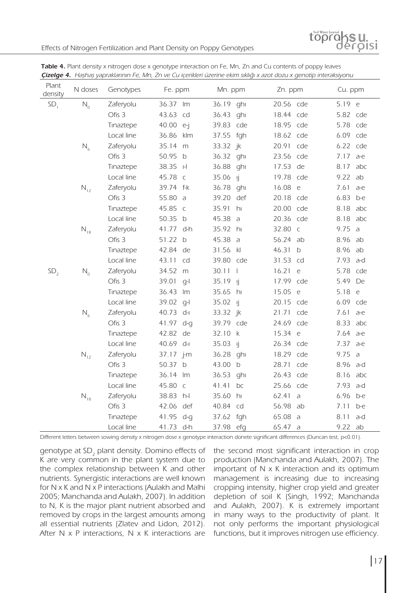

|                  | Castle 4. They hay yaptaman in the win, zu the early chinen azem to emitt simily a azot doza a genotip interamyona |            |                         |                                   |            |               |
|------------------|--------------------------------------------------------------------------------------------------------------------|------------|-------------------------|-----------------------------------|------------|---------------|
| Plant<br>density | N doses                                                                                                            | Genotypes  | Fe. ppm                 | Mn. ppm                           | Zn. ppm    | Cu. ppm       |
| SD <sub>1</sub>  | $N_{0}$                                                                                                            | Zaferyolu  | 36.37 lm                | 36.19 ghi                         | 20.56 cde  | 5.19 e        |
|                  |                                                                                                                    | Ofis 3     | 43.63<br>cd             | 36.43 ghi                         | 18.44 cde  | 5.82 cde      |
|                  |                                                                                                                    | Tinaztepe  | 40.00 e-j               | 39.83 cde                         | 18.95 cde  | 5.78 cde      |
|                  |                                                                                                                    | Local line | 36.86<br>klm            | 37.55<br>fgh                      | 18.62 cde  | 6.09 cde      |
|                  | $N_{6}$                                                                                                            | Zaferyolu  | 35.14<br>m              | 33.32 jk                          | 20.91 cde  | 6.22 cde      |
|                  |                                                                                                                    | Ofis 3     | 50.95<br>$\mathsf{b}$   | 36.32<br>ghi                      | 23.56 cde  | 7.17<br>a-e   |
|                  |                                                                                                                    | Tinaztepe  | 38.35<br>$\Box$         | 36.88<br>ghi                      | 17.53 de   | 8.17<br>abc   |
|                  |                                                                                                                    | Local line | 45.78 c                 | 35.06<br>-lj                      | 19.78 cde  | 9.22<br>ab    |
|                  | $N_{12}$                                                                                                           | Zaferyolu  | 39.74 f-k               | 36.78 ghi                         | 16.08 e    | 7.61<br>$a-e$ |
|                  |                                                                                                                    | Ofis 3     | 55.80 a                 | 39.20<br>def                      | 20.18 cde  | 6.83 b-e      |
|                  |                                                                                                                    | Tinaztepe  | 45.85 c                 | 35.91<br>hı                       | 20.00 cde  | 8.18 abc      |
|                  |                                                                                                                    | Local line | 50.35 b                 | 45.38 a                           | 20.36 cde  | 8.18 abc      |
|                  | $N_{18}$                                                                                                           | Zaferyolu  | 41.77 d-h               | 35.92 hr                          | 32.80 c    | 9.75<br>a     |
|                  |                                                                                                                    | Ofis 3     | 51.22 b                 | 45.38<br>$\overline{a}$           | 56.24 ab   | 8.96<br>ab    |
|                  |                                                                                                                    | Tinaztepe  | 42.84<br>de             | 31.56<br>$\mathsf{K}$             | 46.31 b    | 8.96 ab       |
|                  |                                                                                                                    | Local line | 43.11<br>cd             | 39.80 cde                         | 31.53 cd   | 7.93 a-d      |
| SD <sub>2</sub>  | $N_{0}$                                                                                                            | Zaferyolu  | 34.52<br>m              | 30.11<br>$\overline{\phantom{a}}$ | 16.21<br>e | 5.78 cde      |
|                  |                                                                                                                    | Ofis 3     | 39.01<br>$q-1$          | 35.19 ij                          | 17.99 cde  | 5.49 De       |
|                  |                                                                                                                    | Tinaztepe  | 36.43<br>Im             | 35.65 hi                          | 15.05 e    | 5.18 e        |
|                  |                                                                                                                    | Local line | 39.02<br>$q-1$          | 35.02 ij                          | 20.15 cde  | 6.09 cde      |
|                  | $N_{6}$                                                                                                            | Zaferyolu  | 40.73 d-                | 33.32 jk                          | 21.71 cde  | 7.61<br>$a-e$ |
|                  |                                                                                                                    | Ofis 3     | 41.97 d-g               | 39.79 cde                         | 24.69 cde  | 8.33 abc      |
|                  |                                                                                                                    | Tinaztepe  | 42.82 de                | 32.10 k                           | 15.34 e    | 7.64 a-e      |
|                  |                                                                                                                    | Local line | 40.69 d-l               | 35.03<br>-lj                      | 26.34 cde  | 7.37 a-e      |
|                  | $N_{12}$                                                                                                           | Zaferyolu  | 37.17 j-m               | 36.28<br>ghi                      | 18.29 cde  | 9.75<br>a     |
|                  |                                                                                                                    | Ofis 3     | 50.37<br>$\overline{b}$ | 43.00<br>$\mathsf{b}$             | 28.71 cde  | 8.96 a-d      |
|                  |                                                                                                                    | Tinaztepe  | 36.14<br>Im             | 36.53<br>ghi                      | 26.43 cde  | 8.16 abc      |
|                  |                                                                                                                    | Local line | 45.80 c                 | 41.41<br>bc                       | 25.66 cde  | 7.93 a-d      |
|                  | $N_{18}$                                                                                                           | Zaferyolu  | 38.83 h-l               | 35.60<br>hı                       | 62.41 a    | 6.96 b-e      |
|                  |                                                                                                                    | Ofis 3     | 42.06 def               | 40.84 cd                          | 56.98 ab   | 7.11<br>b-e   |
|                  |                                                                                                                    | Tinaztepe  | 41.95<br>d-g            | 37.62 fgh                         | 65.08 a    | 8.11<br>a-d   |
|                  |                                                                                                                    | Local line | 41.73 d-h               | 37.98 efg                         | 65.47 a    | 9.22 ab       |

**Table 4.** Plant density x nitrogen dose x genotype interaction on Fe, Mn, Zn and Cu contents of poppy leaves **Çizelge 4.** Haşhaş yapraklarının Fe, Mn, Zn ve Cu içerikleri üzerine ekim sıklığı x azot dozu x genotip interaksiyonu

Different letters between sowing density x nitrogen dose x genotype interaction donete significant differences (Duncan test, p<0.01).

genotype at SD<sub>2</sub> plant density. Domino effects of K are very common in the plant system due to the complex relationship between K and other nutrients. Synergistic interactions are well known for N x K and N x P interactions (Aulakh and Malhi 2005; Manchanda and Aulakh, 2007). In addition to N, K is the major plant nutrient absorbed and removed by crops in the largest amounts among all essential nutrients (Zlatev and Lidon, 2012). After N x P interactions, N x K interactions are

the second most significant interaction in crop production (Manchanda and Aulakh, 2007). The important of N x K interaction and its optimum management is increasing due to increasing cropping intensity, higher crop yield and greater depletion of soil K (Singh, 1992; Manchanda and Aulakh, 2007). K is extremely important in many ways to the productivity of plant. It not only performs the important physiological functions, but it improves nitrogen use efficiency.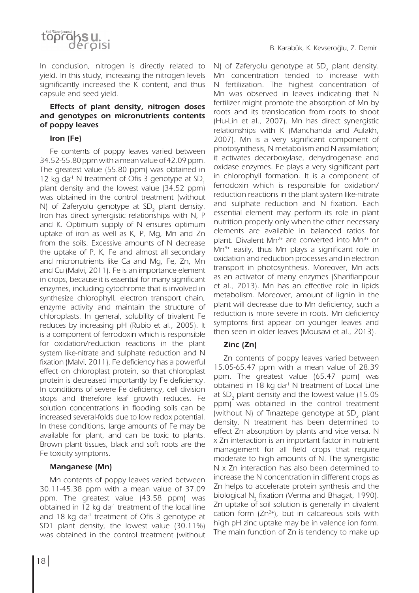

In conclusion, nitrogen is directly related to yield. In this study, increasing the nitrogen levels significantly increased the K content, and thus capsule and seed yield.

# **Effects of plant density, nitrogen doses and genotypes on micronutrients contents of poppy leaves**

### **Iron (Fe)**

Fe contents of poppy leaves varied between 34.52-55.80 ppm with a mean value of 42.09 ppm. The greatest value (55.80 ppm) was obtained in 12 kg da<sup>-1</sup> N treatment of Ofis 3 genotype at SD, plant density and the lowest value (34.52 ppm) was obtained in the control treatment (without N) of Zaferyolu genotype at SD<sub>2</sub> plant density. Iron has direct synergistic relationships with N, P and K. Optimum supply of N ensures optimum uptake of iron as well as K, P, Mg, Mn and Zn from the soils. Excessive amounts of N decrease the uptake of P, K, Fe and almost all secondary and micronutrients like Ca and Mg, Fe, Zn, Mn and Cu (Malvi, 2011). Fe is an importance element in crops, because it is essential for many significant enzymes, including cytochrome that is involved in synthesize chlorophyll, electron transport chain, enzyme activity and maintain the structure of chloroplasts. In general, solubility of trivalent Fe reduces by increasing pH (Rubio et al., 2005). It is a component of ferrodoxin which is responsible for oxidation/reduction reactions in the plant system like-nitrate and sulphate reduction and N fixation (Malvi, 2011). Fe deficiency has a powerful effect on chloroplast protein, so that chloroplast protein is decreased importantly by Fe deficiency. In conditions of severe Fe deficiency, cell division stops and therefore leaf growth reduces. Fe solution concentrations in flooding soils can be increased several-folds due to low redox potential. In these conditions, large amounts of Fe may be available for plant, and can be toxic to plants. Brown plant tissues, black and soft roots are the Fe toxicity symptoms.

#### **Manganese (Mn)**

Mn contents of poppy leaves varied between 30.11-45.38 ppm with a mean value of 37.09 ppm. The greatest value (43.58 ppm) was obtained in 12 kg da<sup>-1</sup> treatment of the local line and 18 kg da<sup>-1</sup> treatment of Ofis 3 genotype at SD1 plant density, the lowest value (30.11%) was obtained in the control treatment (without N) of Zaferyolu genotype at SD<sub>2</sub> plant density. Mn concentration tended to increase with N fertilization. The highest concentration of Mn was observed in leaves indicating that N fertilizer might promote the absorption of Mn by roots and its translocation from roots to shoot (Hu-Lin et al., 2007). Mn has direct synergistic relationships with K (Manchanda and Aulakh, 2007). Mn is a very significant component of photosynthesis, N metabolism and N assimilation; it activates decarboxylase, dehydrogenase and oxidase enzymes. Fe plays a very significant part in chlorophyll formation. It is a component of ferrodoxin which is responsible for oxidation/ reduction reactions in the plant system like-nitrate and sulphate reduction and N fixation. Each essential element may perform its role in plant nutrition properly only when the other necessary elements are available in balanced ratios for plant. Divalent  $Mn^{2+}$  are converted into  $Mn^{3+}$  or Mn<sup>4+</sup> easily, thus Mn plays a significant role in oxidation and reduction processes and in electron transport in photosynthesis. Moreover, Mn acts as an activator of many enzymes (Sharifianpour et al., 2013). Mn has an effective role in lipids metabolism. Moreover, amount of lignin in the plant will decrease due to Mn deficiency, such a reduction is more severe in roots. Mn deficiency symptoms first appear on younger leaves and then seen in older leaves (Mousavi et al., 2013).

# **Zinc (Zn)**

Zn contents of poppy leaves varied between 15.05-65.47 ppm with a mean value of 28.39 ppm. The greatest value (65.47 ppm) was obtained in 18 kg da<sup>-1</sup> N treatment of Local Line at SD<sub>2</sub> plant density and the lowest value (15.05) ppm) was obtained in the control treatment (without N) of Tinaztepe genotype at SD<sub>2</sub> plant density. N treatment has been determined to effect Zn absorption by plants and vice versa. N x Zn interaction is an important factor in nutrient management for all field crops that require moderate to high amounts of N. The synergistic N x Zn interaction has also been determined to increase the N concentration in different crops as Zn helps to accelerate protein synthesis and the biological N<sub>2</sub> fixation (Verma and Bhagat, 1990). Zn uptake of soil solution is generally in divalent cation form  $(Zn^{2+})$ , but in calcareous soils with high pH zinc uptake may be in valence ion form. The main function of Zn is tendency to make up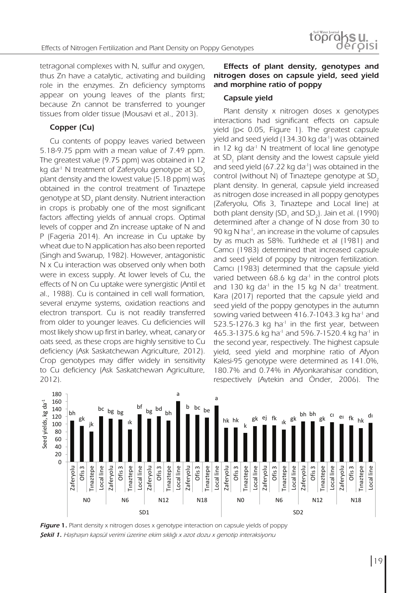tetragonal complexes with N, sulfur and oxygen, thus Zn have a catalytic, activating and building role in the enzymes. Zn deficiency symptoms appear on young leaves of the plants first; because Zn cannot be transferred to younger tissues from older tissue (Mousavi et al., 2013).

# **Copper (Cu)**

Cu contents of poppy leaves varied between 5.18-9.75 ppm with a mean value of 7.49 ppm. The greatest value (9.75 ppm) was obtained in 12<br>lie dail N treatment of Zafanielu geneture at SD kg da<sup>-1</sup> N treatment of Zaferyolu genotype at SD<sub>2</sub><br>plant density and the lowest value (5.18 ppm) was plant density and the lowest value (5.18 ppm) was 80 obtained in the control treatment of Tinaztepe genotype at SD<sub>2</sub> plant density. Nutrient interaction in crops is probably one of the most significant factors affecting yields of annual crops. Optimal factors affecting yields of annual crops. Optimal<br>levels of copper and Zn increase uptake of N and<br>B. (Eageria 2014), An increase in Cu uptake by P (Fageria 2014). An increase in Cu uptake by wheat due to N application has also been reported  $\frac{y_1}{6}$  as much as 50%. Tanyfede at all 100 N (Singh and Swarup, 1982). However, antagonistic N x Cu interaction was observed only when both were in excess supply. At lower levels of Cu, the effects of N on Cu uptake were synergistic (Antil et al., 1988). Cu is contained in cell wall formation, Kara (2017) reported that the several enzyme systems, oxidation reactions and electron transport. Cu is not readily transferred sowing varied between 416 from older to younger leaves. Cu deficiencies will most likely show up first in barley, wheat, canary or oats seed, as these crops are highly sensitive to Cu deficiency (Ask Saskatchewan Agriculture, 2012). Crop genotypes may differ widely in sensitivity to Cu deficiency (Ask Saskatchewan Agriculture, 2012).  $\mathrm{a}^\text{-1}$  N treatment of Zaferyolu genotype at SD $_2$  $\overline{a}$ .<br>مە  $n \in \mathbb{R}$ he<br>g<br>la<br>el<br>n

# **Effects of plant density, genotypes and nitrogen doses on capsule yield, seed yield and morphine ratio of poppy**

#### **Capsule yield**

Plant density x nitrogen doses x genotypes interactions had significant effects on capsule yield (p< 0.05, Figure 1). The greatest capsule yield and seed yield (134.30 kg da<sup>-1</sup>) was obtained in 12 kg da<sup>-1</sup> N treatment of local line genotype at  $SD_1$  plant density and the lowest capsule yield and seed yield  $(67.22 \text{ kg})$  da<sup>-1</sup>) was obtained in the and seed yield (67.22 kg dail) was obtained in the<br>control (without N) of Tinaztepe genotype at SD<sub>2</sub> plant density. In general, capsule yield increased as nitrogen dose increased in all poppy genotypes (Zaferyolu, Ofis 3, Tınaztepe and Local line) at both plant density (SD<sub>1</sub> and SD<sub>2</sub>). Jain et al. (1990) determined after a change of N dose from 30 to 90 kg N ha<sup>-1</sup>, an increase in the volume of capsules by as much as 58%. Turkhede et al (1981) and Camcı (1983) determined that increased capsule wever, antagonistic and seed yield of poppy by nitrogen fertilization. Camcı (1983) determined that the capsule yield varied between 68.6 kg da<sup>-1</sup> in the control plots and 130 kg da<sup>-1</sup> in the 15 kg N da<sup>-1</sup> treatment. Kara (2017) reported that the capsule yield and seed yield of the poppy genotypes in the autumn sowing varied between 416.7-1043.3 kg ha<sup>-1</sup> and 523.5-1276.3 kg ha<sup>-1</sup> in the first year, between 465.3-1375.6 kg ha<sup>-1</sup> and 596.7-1520.4 kg ha<sup>-1</sup> in the second year, respectively. The highest capsule yield, seed yield and morphine ratio of Afyon Kalesi-95 genotype were determined as 141.0%, 180.7% and 0.74% in Afyonkarahisar condition, respectively (Aytekin and Önder, 2006). The both plant density (SD<sub>1</sub> and SD<sub>2</sub>). Jain et al. (199<br>determined after a change of N dose from 30<br>90 kg N ha<sup>-1</sup>, an increase in the volume of capsu



**Figure 1.** Plant density x nitrogen doses x genotype interaction on capsule yields of poppy **Şekil 1.** Haşhaşın kapsül verimi üzerine ekim sıklığı x azot dozu x genotip interaksiyonu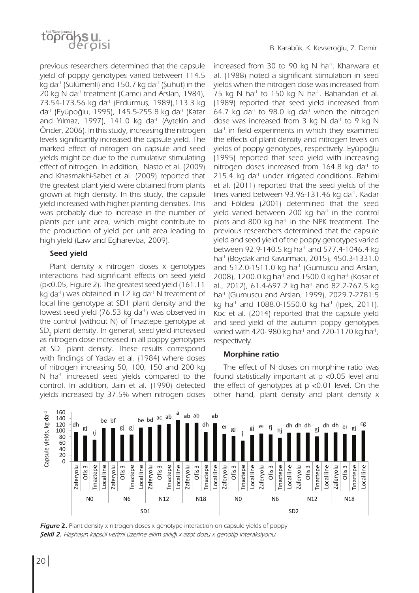

previous researchers determined that the capsule yield of poppy genotypes varied between 114.5 kg da<sup>-1</sup> (Sülümenli) and 150.7 kg da<sup>-1</sup> (Şuhut) in the 20 kg N da<sup>-1</sup> treatment (Camci and Arslan, 1984), 73.54-173.56 kg da-1 (Erdurmuş, 1989),113.3 kg da-1 (Eyüpoğlu, 1995), 145.5-255.8 kg da-1 (Katar and Yılmaz, 1997), 141.0 kg da<sup>-1</sup> (Aytekin and Önder, 2006). In this study, increasing the nitrogen levels significantly increased the capsule yield. The marked effect of nitrogen on capsule and seed yields might be due to the cumulative stimulating effect of nitrogen. In addition, Nasto et al. (2009) and Khasmakhi-Sabet et al. (2009) reported that the greatest plant yield were obtained from plants grown at high density. In this study, the capsule yield increased with higher planting densities. This was probably due to increase in the number of plants per unit area, which might contribute to the production of yield per unit area leading to high yield (Law and Egharevba, 2009).

#### **Seed yield**

Plant density x nitrogen doses x genotypes interactions had significant effects on seed yield (p<0.05, Figure 2). The greatest seed yield (161.11 kg da<sup>-1</sup>) was obtained in 12 kg da<sup>-1</sup> N treatment of local line genotype at SD1 plant density and the lowest seed yield (76.53 kg da<sup>-1</sup>) was observed in the control (without N) of Tınaztepe genotype at  $\mathsf{SD}_2$  plant density. In general, seed yield increased as nitrogen dose increased in all poppy genotypes at SD<sub>1</sub> plant density. These results correspond with findings of Yadav et al. (1984) where doses of nitrogen increasing 50, 100, 150 and 200 kg N ha<sup>-1</sup> increased seed yields compared to the control. In addition, Jain et al. (1990) detected yields increased by 37.5% when nitrogen doses

increased from 30 to 90 kg N ha<sup>-1</sup>. Kharwara et al. (1988) noted a significant stimulation in seed yields when the nitrogen dose was increased from 75 kg N ha<sup>-1</sup> to 150 kg N ha<sup>-1</sup>. Bahandari et al. (1989) reported that seed yield increased from 64.7 kg da<sup>-1</sup> to 98.0 kg da<sup>-1</sup> when the nitrogen dose was increased from 3 kg N da<sup>-1</sup> to 9 kg N  $da<sup>-1</sup>$  in field experiments in which they examined the effects of plant density and nitrogen levels on yields of poppy genotypes, respectively. Eyüpoğlu (1995) reported that seed yield with increasing nitrogen doses increased from 164.8 kg da<sup>1</sup> to 215.4 kg da<sup>-1</sup> under irrigated conditions. Rahimi et al. (2011) reported that the seed yields of the lines varied between 93.96-131.46 kg da<sup>-1</sup>. Kadar and Földesi (2001) determined that the seed yield varied between 200 kg ha<sup>-1</sup> in the control plots and 800 kg ha<sup>-1</sup> in the NPK treatment. The previous researchers determined that the capsule yield and seed yield of the poppy genotypes varied between 92.9-140.5 kg ha<sup>-1</sup> and 577.4-1046.4 kg ha-1 (Boydak and Kavurmacı, 2015), 450.3-1331.0 and 512.0-1511.0 kg ha<sup>-1</sup> (Gumuscu and Arslan, 2008), 1200.0 kg ha<sup>-1</sup> and 1500.0 kg ha<sup>-1</sup> (Kosar et al., 2012), 61.4-697.2 kg ha<sup>1</sup> and 82.2-767.5 kg ha-1 (Gumuscu and Arslan, 1999), 2029.7-2781.5 kg ha<sup>-1</sup> and 1088.0-1550.0 kg ha<sup>-1</sup> (lpek, 2011). Koc et al. (2014) reported that the capsule yield and seed yield of the autumn poppy genotypes varied with 420-980 kg ha<sup>-1</sup> and 720-1170 kg ha<sup>-1</sup>, respectively.

#### **Morphine ratio**

The effect of N doses on morphine ratio was found statistically important at p <0.05 level and the effect of genotypes at p <0.01 level. On the other hand, plant density and plant density x



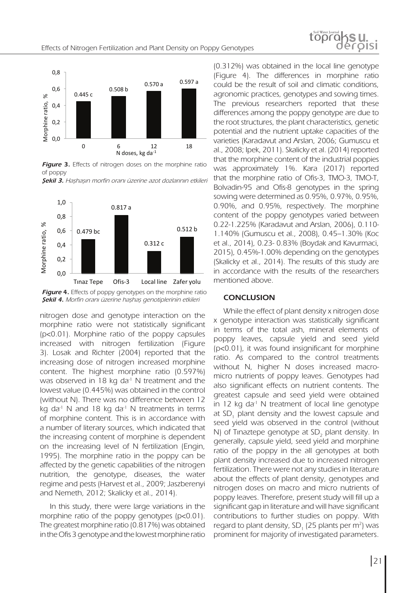

**Figure 3.** Effects of nitrogen doses on the morphine ratio of poppy

**Figure 3.** Effects of nitrogen doses on the morphine ratio **Şekil 3.** Haşhaşın morfin oranı üzerine azot dozlarının etkileri



**Figure 4.** Effects of poppy genotypes on the morphine ratio **Şekil 4.** Morfin oranı üzerine haşhaş genotiplerinin etkileri

nitrogen dose and genotype interaction on the more set of poppy generalism. morphine ratio were not statistically significant (p<0.01). Morphine ratio of the poppy capsules  $\overline{p}$ increased with nitrogen fertilization (Figure 3). Losak and Richter (2004) reported that the increasing dose of nitrogen increased morphine content. The highest morphine ratio (0.597%) was observed in 18 kg da<sup>-1</sup> N treatment and the lowest value (0.445%) was obtained in the control (without N). There was no difference between 12 kg da<sup>-1</sup> N and 18 kg da<sup>-1</sup> N treatments in terms of morphine content. This is in accordance with a number of literary sources, which indicated that the increasing content of morphine is dependent on the increasing level of N fertilization (Engin, 1995). The morphine ratio in the poppy can be affected by the genetic capabilities of the nitrogen nutrition, the genotype, diseases, the water regime and pests (Harvest et al., 2009; Jaszberenyi and Nemeth, 2012; Skalicky et al., 2014).

In this study, there were large variations in the morphine ratio of the poppy genotypes (p<0.01). The greatest morphine ratio (0.817%) was obtained in the Ofis 3 genotype and the lowest morphine ratio

(0.312%) was obtained in the local line genotype (Figure 4). The differences in morphine ratio  $\frac{1}{2}$  could be the result of soil and climatic conditions, agronomic practices, genotypes and sowing times. The previous researchers reported that these differences among the poppy genotype are due to the root structures, the plant characteristics, genetic potential and the nutrient uptake capacities of the varieties (Karadavut and Arslan, 2006; Gumuscu et al., 2008; Ipek, 2011). Skalicky et al. (2014) reported that the morphine content of the industrial poppies was approximately 1%. Kara (2017) reported that the morphine ratio of Ofis-3, TMO-3, TMO-T, and the morphine ratio of only *b*, twip *b*, twip *i*, **Bolvadin-95** and Ofis-8 genotypes in the spring Bolvadin PSS and Ons of genotypes in the spin ight of 0.90%, and 0.95%, respectively. The morphine content of the poppy genotypes varied between 0.22-1.225% (Karadavut and Arslan, 2006), 0.110- 1.140% (Gumuscu et al., 2008), 0.45–1.30% (Koc et al., 2014), 0.23- 0.83% (Boydak and Kavurmaci, 2015), 0.45%-1.00% depending on the genotypes (Skalicky et al., 2014). The results of this study are in accordance with the results of the researchers mentioned above. *Şekil 4. Morfin oranı üzerine haşhaş genotiplerinin* M<br>Morphi<br>Ati

#### **CONCLUSION**

While the effect of plant density x nitrogen dose x genotype interaction was statistically significant in terms of the total ash, mineral elements of poppy leaves, capsule yield and seed yield (p<0.01), it was found insignificant for morphine ratio. As compared to the control treatments without N, higher N doses increased macromicro nutrients of poppy leaves. Genotypes had also significant effects on nutrient contents. The greatest capsule and seed yield were obtained in 12 kg da<sup>-1</sup> N treatment of local line genotype at  $SD_1$  plant density and the lowest capsule and  $\frac{1}{2}$  being density and the lowest exposite and seed yield was observed in the control (without N) of Tinaztepe genotype at SD<sub>2</sub> plant density. In generally, capsule yield, seed yield and morphine ratio of the poppy in the all genotypes at both plant density increased due to increased nitrogen fertilization. There were not any studies in literature about the effects of plant density, genotypes and nitrogen doses on macro and micro nutrients of poppy leaves. Therefore, present study will fill up a significant gap in literature and will have significant contributions to further studies on poppy. With regard to plant density, SD<sub>1</sub> (25 plants per m<sup>2</sup>) was prominent for majority of investigated parameters.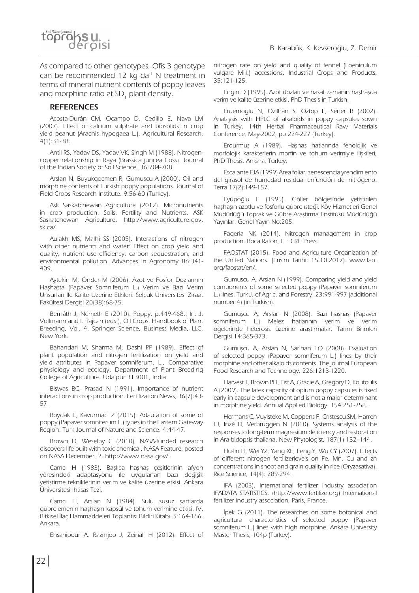As compared to other genotypes, Ofis 3 genotype can be recommended 12 kg da<sup>-1</sup> N treatment in terms of mineral nutrient contents of poppy leaves and morphine ratio at SD<sub>1</sub> plant density.

#### **REFERENCES**

Acosta-Durán CM, Ocampo D, Cedillo E, Nava LM (2007). Effect of calcium sulphate and biosolids in crop yield peanut (Arachis hypogaea L.), Agricultural Research, 4(1):31-38.

Antil RS, Yadav DS, Yadav VK, Singh M (1988). Nitrogencopper relationship in Raya (Brassica juncea Coss). Journal of the Indian Society of Soil Science, 36:704-708.

Arslan N, Buyukgocmen R, Gumuscu A (2000). Oil and morphine contents of Turkish poppy populations. Journal of Field Crops Research Institute. 9:56-60 (Turkey).

Ask Saskatchewan Agrıculture (2012). Micronutrients in crop production. Soils, Fertility and Nutrients. ASK Saskatchewan Agriculture. http://www.agriculture.gov. sk.ca/.

Aulakh MS, Malhi SS (2005). Interactions of nitrogen with other nutrients and water: Effect on crop yield and quality, nutrient use efficiency, carbon sequestration, and environmental pollution. Advances in Agronomy 86:341- 409.

Aytekin M, Önder M (2006). Azot ve Fosfor Dozlarının Haşhaşta (Papaver Somniferum L.) Verim ve Bazı Verim Unsurları İle Kalite Üzerine Etkileri. Selçuk Üniversitesi Ziraat Fakültesi Dergisi 20(38):68-75.

Bernáth J, Németh E (2010). Poppy. p.449-468.: In: J. Vollmann and I. Rajcan (eds.), Oil Crops, Handbook of Plant Breeding, Vol. 4. Springer Science, Business Media, LLC, New York.

Bahandari M, Sharma M, Dashi PP (1989). Effect of plant population and nitrojen fertilization on yield and yield attributes in Papaver somniferum. L., Comparative physiology and ecology. Department of Plant Breeding College of Agriculture. Udaipur 313001, India.

Biswas BC, Prasad N (1991). Importance of nutrient interactions in crop production. Fertilization News, 36(7):43- 57.

Boydak E, Kavurmacı Z (2015). Adaptation of some of poppy (Papaver somniferum L.) types in the Eastern Gateway Region. Turk Journal of Nature and Science. 4:44-47.

Brown D, Weselby C (2010). NASA-funded research discovers life built with toxic chemical. NASA Feature, posted on NASA December, 2. http://www.nasa.gov/.

Camcı H (1983). Başlıca haşhaş çeşitlerinin afyon yöresindeki adaptasyonu ıle uygulanan bazı değişik yetiştirme tekniklerinin verim ve kalite üzerine etkisi. Ankara Üniversitesi İhtisas Tezi.

Camcı H, Arslan N (1984). Sulu susuz şartlarda gübrelemenin haşhaşın kapsül ve tohum verimine etkisi. IV. Bitkisel İlaç Hammaddeleri Toplantısı Bildiri Kitabı. S:164-166. Ankara.

Ehsanipour A, Razmjoo J, Zeinali H (2012). Effect of

nitrogen rate on yield and quality of fennel (Foeniculum vulgare Mill.) accessions. Industrial Crops and Products, 35:121-125.

Engin D (1995). Azot dozları ve hasat zamanın haşhaşda verim ve kalite üzerine etkisi. PhD Thesis in Turkish.

Erdemoglu N, Ozilhan S, Oztop F, Sener B (2002). Analaysis with HPLC of alkaloids in poppy capsules sown in Turkey. 14th Herbal Pharmaceutical Raw Materials Conference, May-2002, pp:224-227 (Turkey).

Erdurmuş A (1989). Haşhaş hatlarında fenolojik ve morfolojik karakterlerin morfin ve tohum verimiyle ilişkileri, PhD Thesis, Ankara, Turkey.

Escalante EJA (1999) Área foliar, senescencia yrendimiento del girasol de humedad residual enfunción del nitrógeno. Terra 17(2):149-157.

Eyüpoğlu F (1995). Göller bölgesinde yetiştirilen haşhaşın azotlu ve fosforlu gübre ısteği. Köy Hizmetleri Genel Müdürlüğü Toprak ve Gübre Araştırma Enstitüsü Müdürlüğü Yayınlar. Genel Yayın No:205.

Fageria NK (2014). Nitrogen management in crop production. Boca Raton, FL: CRC Press.

FAOSTAT (2015). Food and Agriculture Organization of the United Nations. (Erişim Tarihi: 15.10.2017). www.fao. org/faostat/en/.

Gumuscu A, Arslan N (1999). Comparing yield and yield components of some selected poppy (Papaver somniferum L.) lines. Turk J. of Agric. and Forestry. 23:991-997 (additional number 4) (in Turkish).

Gumuşcu A, Arslan N (2008). Bazı haşhaş (Papaver somniferum L.) Melez hatlarının verim ve verim öğelerinde heterosis üzerine araştırmalar. Tarım Bilimleri Dergisi.14:365-373.

Gumuşcu A, Arslan N, Sarıhan EO (2008). Evaluation of selected poppy (Papaver somniferum L.) lines by their morphine and other alkaloids contents. The journal European Food Research and Technology, 226:1213-1220.

Harvest T, Brown PH, Fist A, Gracie A, Gregory D, Koutoulis A (2009). The latex capacity of opium poppy capsules is fixed early in capsule development and is not a major determinant in morphine yield. Annual Applied Biology. 154:251-258.

Hermans C, Vuylsteke M, Coppens F, Crıstescu SM, Harren FJ, Inzé D, Verbruggen N (2010). Systems analysis of the responses to long-term magnesium deficiency and restoration in Ara-bidopsis thaliana. New Phytologist, 187(1):132–144.

Hu-lin H, Wei YZ, Yang XE, Feng Y, Wu CY (2007). Effects of different nitrogen fertilizerlevels on Fe, Mn, Cu and zn concentrations in shoot and grain quality in rice (Oryzasativa). Rice Science, 14(4): 289-294.

IFA (2003). International fertilizer industry association IFADATA STATISTICS. (http://www.fertilize.org) International fertilizer industry association, Paris, France.

İpek G (2011). The researches on some botonical and agricultural characteristics of selected poppy (Papaver somniferum L.) lines with high morphine. Ankara University Master Thesis, 104p (Turkey).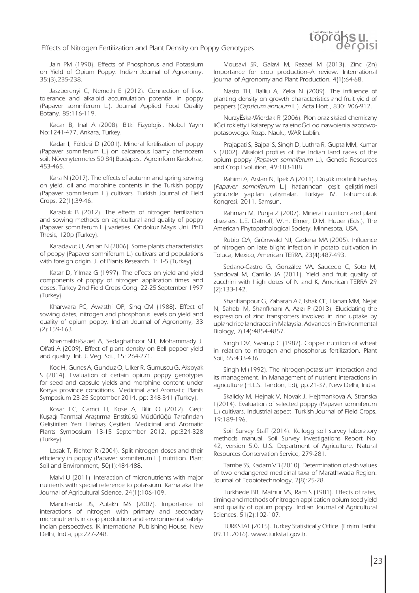Jain PM (1990). Effects of Phosphorus and Potassium on Yield of Opium Poppy. Indian Journal of Agronomy. 35:(3),235-238.

Jaszberenyi C, Nemeth E (2012). Connection of frost tolerance and alkaloid accumulation potential in poppy (Papaver somniferum L.). Journal Applied Food Quality Botany. 85:116-119.

Kacar B, Inal A (2008). Bitki Fizyolojisi. Nobel Yayın No:1241-477, Ankara, Turkey.

Kadar I, Földesi D (2001). Mineral fertilisation of poppy (Papaver somniferum L.) on calcareous loamy chernozem soil. Növenytermeles 50 84) Budapest: Agroinform Kiadohaz, 453-465.

Kara N (2017). The effects of autumn and spring sowing on yield, oil and morphine contents in the Turkish poppy (Papaver somniferum L.) cultivars. Turkish Journal of Field Crops, 22(1):39-46.

Karabuk B (2012). The effects of nitrogen fertilization and sowing methods on agricultural and quality of poppy (Papaver somniferum L.) varieties. Ondokuz Mayıs Uni. PhD Thesis, 120p (Turkey).

Karadavut U, Arslan N (2006). Some plants characteristics of poppy (Papaver somniferum L.) cultivars and populations with foreign origin. J. of Plants Research. 1: 1-5 (Turkey).

Katar D, Yılmaz G (1997). The effects on yield and yield components of poppy of nitrogen application times and doses. Türkey 2nd Field Crops Cong. 22-25 September 1997 (Turkey).

Kharwara PC, Awasthi OP, Sing CM (1988). Effect of sowing dates, nitrogen and phosphorus levels on yield and quality of opium poppy. Indian Journal of Agronomy, 33 (2):159-163.

Khasmakhi-Sabet A, Sedaghathoor SH, Mohammady J, Olfati A (2009). Effect of plant density on Bell pepper yield and quality. Int. J. Veg. Sci., 15: 264-271.

Koc H, Gunes A, Gunduz O, Ulker R, Gumuscu G, Aksoyak S (2014). Evaluation of certain opium poppy genotypes for seed and capsule yields and morphine content under Konya province conditions. Medicinal and Aromatic Plants Symposium 23-25 September 2014, pp: 348-341 (Turkey).

Kosar FC, Camci H, Kose A, Bilir O (2012). Geçit Kuşağı Tarımsal Araştırma Enstitüsü Müdürlüğü Tarafından Geliştirilen Yeni Haşhaş Çeşitleri. Medicinal and Aromatic Plants Symposium 13-15 September 2012, pp:324-328 (Turkey).

Losak T, Richter R (2004). Split nitrogen doses and their efficiency in poppy (Papaver somniferum L.) nutrition. Plant Soil and Environment, 50(1):484-488.

Malvi U (2011). Interaction of micronutrients with major nutrients with special reference to potassium. Karnataka The Journal of Agricultural Science, 24(1):106-109.

Manchanda JS, Aulakh MS (2007). Importance of interactions of nitrogen with primary and secondary micronutrients in crop production and environmental safety-Indian perspectives. IK International Publishing House, New Delhi, India, pp:227-248.

Mousavi SR, Galavi M, Rezaei M (2013). Zinc (Zn) Importance for crop production–A review. International journal of Agronomy and Plant Production, 4(1):64-68.

Nasto TH, Balliu A, Zeka N (2009). The influence of planting density on growth characteristics and fruit yield of peppers (Capsicum annuum L.). Acta Hort., 830: 906-912.

NurzyĔska-Wierdak R (2006). Plon oraz skáad chemiczny liĞci rokietty i kalarepy w zaleĪnoĞci od nawoĪenia azotowopotasowego. Rozp. Nauk., WAR Lublin.

Prajapati S, Bajpai S, Singh D, Luthra R, Gupta MM, Kumar S (2002). Alkaloid profiles of the Indian land races of the opium poppy (Papaver somniferum L.), Genetic Resources and Crop Evolution, 49:183-188.

Rahimi A, Arslan N, İpek A (2011). Düşük morfinli haşhaş (Papaver somniferum L.) hatlarından çeşit geliştirilmesi yönünde yapılan çalışmalar. Türkiye IV. Tohumculuk Kongresi. 2011. Samsun.

Rahman M, Punja Z (2007). Mineral nutrition and plant diseases, L.E. Datnoff, W.H. Elmer, D.M. Huber (Eds.), The American Phytopathological Society, Minnesota, USA.

Rubio OA, Grünwald NJ, Cadena MA (2005). Influence of nitrogen on late blight infection in potato cultivation in Toluca, Mexico, American TERRA, 23(4):487-493.

Sedano-Castro G, González VA, Saucedo C, Soto M, Sandoval M, Carrillo JA (2011). Yield and fruit quality of zucchini with high doses of N and K, American TERRA 29 (2):133-142.

Sharifianpour G, Zaharah AR, Ishak CF, Hanafı MM, Nejat N, Sahebı M, Sharıfkhanı A, Azızı P (2013). Elucidating the expression of zinc transporters involved in zinc uptake by upland rice landraces in Malaysia. Advances in Environmental Biology, 7(14):4854-4857.

Singh DV, Swarup C (1982). Copper nutrition of wheat in relation to nitrogen and phosphorus fertilization. Plant Soil, 65:433-436.

Singh M (1992). The nitrogen-potassium interaction and its management. In Management of nutrient interactions in agriculture (H.L.S. Tandon, Ed), pp.21-37, New Delhi, India.

Skalicky M, Hejnak V, Novak J, Hejtmankova A, Stranska I (2014). Evaluation of selected poppy (Papaver somniferum L.) cultivars. Industrial aspect. Turkish Journal of Field Crops, 19:189-196.

Soil Survey Staff (2014). Kellogg soil survey laboratory methods manual. Soil Survey Investigations Report No. 42, version 5.0. U.S. Department of Agriculture, Natural Resources Conservation Service, 279-281.

Tambe SS, Kadam VB (2010). Determination of ash values of two endangered medicinal taxa of Marathwada Region. Journal of Ecobiotechnology, 2(8):25-28.

Turkhede BB, Mathur VS, Ram S (1981). Effects of rates, timing and methods of nitrogen application opium seed yield and quality of opium poppy. Indian Journal of Agricultural Sciences. 51(2):102-107.

TURKSTAT (2015). Turkey Statistically Office. (Erişim Tarihi: 09.11.2016). www.turkstat.gov.tr.